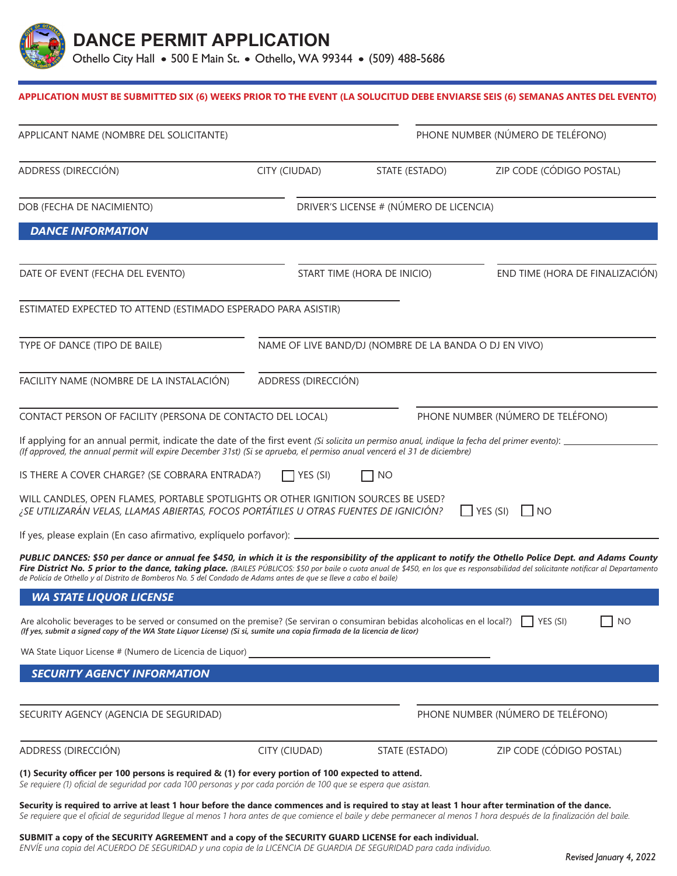

## **APPLICATION MUST BE SUBMITTED SIX (6) WEEKS PRIOR TO THE EVENT (LA SOLUCITUD DEBE ENVIARSE SEIS (6) SEMANAS ANTES DEL EVENTO)**

| APPLICANT NAME (NOMBRE DEL SOLICITANTE)                                                                                                                                                                                                                                                                                                                                                                                                                                  |                                                        |                                         | PHONE NUMBER (NÚMERO DE TELÉFONO) |  |
|--------------------------------------------------------------------------------------------------------------------------------------------------------------------------------------------------------------------------------------------------------------------------------------------------------------------------------------------------------------------------------------------------------------------------------------------------------------------------|--------------------------------------------------------|-----------------------------------------|-----------------------------------|--|
| ADDRESS (DIRECCIÓN)                                                                                                                                                                                                                                                                                                                                                                                                                                                      | CITY (CIUDAD)                                          | STATE (ESTADO)                          | ZIP CODE (CÓDIGO POSTAL)          |  |
| DOB (FECHA DE NACIMIENTO)                                                                                                                                                                                                                                                                                                                                                                                                                                                |                                                        | DRIVER'S LICENSE # (NÚMERO DE LICENCIA) |                                   |  |
| <b>DANCE INFORMATION</b>                                                                                                                                                                                                                                                                                                                                                                                                                                                 |                                                        |                                         |                                   |  |
| DATE OF EVENT (FECHA DEL EVENTO)                                                                                                                                                                                                                                                                                                                                                                                                                                         |                                                        | START TIME (HORA DE INICIO)             | END TIME (HORA DE FINALIZACIÓN)   |  |
| ESTIMATED EXPECTED TO ATTEND (ESTIMADO ESPERADO PARA ASISTIR)                                                                                                                                                                                                                                                                                                                                                                                                            |                                                        |                                         |                                   |  |
| TYPE OF DANCE (TIPO DE BAILE)                                                                                                                                                                                                                                                                                                                                                                                                                                            | NAME OF LIVE BAND/DJ (NOMBRE DE LA BANDA O DJ EN VIVO) |                                         |                                   |  |
| FACILITY NAME (NOMBRE DE LA INSTALACIÓN)                                                                                                                                                                                                                                                                                                                                                                                                                                 | ADDRESS (DIRECCIÓN)                                    |                                         |                                   |  |
| CONTACT PERSON OF FACILITY (PERSONA DE CONTACTO DEL LOCAL)                                                                                                                                                                                                                                                                                                                                                                                                               |                                                        |                                         | PHONE NUMBER (NÚMERO DE TELÉFONO) |  |
| If applying for an annual permit, indicate the date of the first event (Si solicita un permiso anual, indique la fecha del primer evento): _<br>(If approved, the annual permit will expire December 31st) (Si se aprueba, el permiso anual vencerá el 31 de diciembre)                                                                                                                                                                                                  |                                                        |                                         |                                   |  |
| IS THERE A COVER CHARGE? (SE COBRARA ENTRADA?)                                                                                                                                                                                                                                                                                                                                                                                                                           | YES (SI)                                               | <b>NO</b>                               |                                   |  |
| WILL CANDLES, OPEN FLAMES, PORTABLE SPOTLIGHTS OR OTHER IGNITION SOURCES BE USED?<br>¿SE UTILIZARÁN VELAS, LLAMAS ABIERTAS, FOCOS PORTÁTILES U OTRAS FUENTES DE IGNICIÓN?                                                                                                                                                                                                                                                                                                |                                                        |                                         | $\Box$ YES (SI)<br>I INO          |  |
| If yes, please explain (En caso afirmativo, explíquelo porfavor): _                                                                                                                                                                                                                                                                                                                                                                                                      |                                                        |                                         |                                   |  |
| PUBLIC DANCES: \$50 per dance or annual fee \$450, in which it is the responsibility of the applicant to notify the Othello Police Dept. and Adams County<br>Fire District No. 5 prior to the dance, taking place. (BAILES PÚBLICOS: \$50 por baile o cuota anual de \$450, en los que es responsabilidad del solicitante notificar al Departamento<br>de Policía de Othello y al Distrito de Bomberos No. 5 del Condado de Adams antes de que se lleve a cabo el baile) |                                                        |                                         |                                   |  |
| <b>WA STATE LIQUOR LICENSE</b>                                                                                                                                                                                                                                                                                                                                                                                                                                           |                                                        |                                         |                                   |  |
| Are alcoholic beverages to be served or consumed on the premise? (Se serviran o consumiran bebidas alcoholicas en el local?)<br>(If yes, submit a signed copy of the WA State Liquor License) (Si si, sumite una copia firmada de la licencia de licor)                                                                                                                                                                                                                  |                                                        |                                         | YES (SI)<br>NO                    |  |
| WA State Liquor License # (Numero de Licencia de Liquor)                                                                                                                                                                                                                                                                                                                                                                                                                 |                                                        |                                         |                                   |  |
| <b>SECURITY AGENCY INFORMATION</b>                                                                                                                                                                                                                                                                                                                                                                                                                                       |                                                        |                                         |                                   |  |
| SECURITY AGENCY (AGENCIA DE SEGURIDAD)                                                                                                                                                                                                                                                                                                                                                                                                                                   |                                                        |                                         | PHONE NUMBER (NÚMERO DE TELÉFONO) |  |
| ADDRESS (DIRECCIÓN)                                                                                                                                                                                                                                                                                                                                                                                                                                                      | CITY (CIUDAD)                                          | STATE (ESTADO)                          | ZIP CODE (CÓDIGO POSTAL)          |  |
| (1) Security officer per 100 persons is required & (1) for every portion of 100 expected to attend.<br>Se requiere (1) oficial de seguridad por cada 100 personas y por cada porción de 100 que se espera que asistan.                                                                                                                                                                                                                                                   |                                                        |                                         |                                   |  |
| Security is required to arrive at least 1 hour before the dance commences and is required to stay at least 1 hour after termination of the dance.<br>Se requiere que el oficial de seguridad llegue al menos 1 hora antes de que comience el baile y debe permanecer al menos 1 hora después de la finalización del baile.                                                                                                                                               |                                                        |                                         |                                   |  |

## **SUBMIT a copy of the SECURITY AGREEMENT and a copy of the SECURITY GUARD LICENSE for each individual.**

*ENVÍE una copia del ACUERDO DE SEGURIDAD y una copia de la LICENCIA DE GUARDIA DE SEGURIDAD para cada individuo.*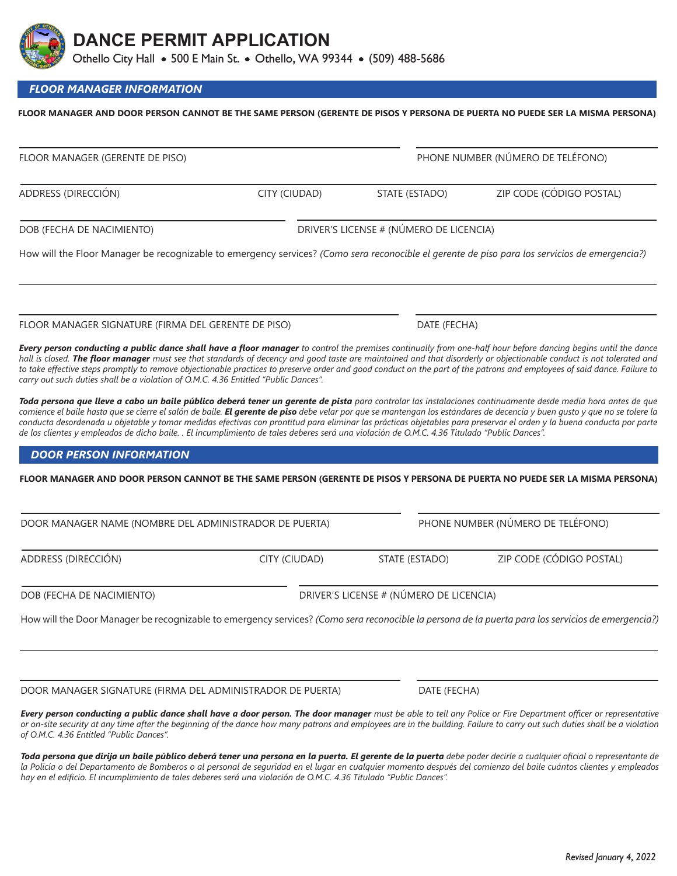| Revised January 4, 2022 |
|-------------------------|

**DANCE PERMIT APPLICATION**

Othello City Hall • 500 E Main St. • Othello, WA 99344 • (509) 488-5686

*FLOOR MANAGER INFORMATION*

# **FLOOR MANAGER AND DOOR PERSON CANNOT BE THE SAME PERSON (GERENTE DE PISOS Y PERSONA DE PUERTA NO PUEDE SER LA MISMA PERSONA)**

ADDRESS (DIRECCIÓN) CITY (CIUDAD) STATE (ESTADO) ZIP CODE (CÓDIGO POSTAL) DOB (FECHA DE NACIMIENTO) DRIVER'S LICENSE # (NÚMERO DE LICENCIA) How will the Floor Manager be recognizable to emergency services? *(Como sera reconocible el gerente de piso para los servicios de emergencia?)* FLOOR MANAGER SIGNATURE (FIRMA DEL GERENTE DE PISO) DATE (FECHA) *Every person conducting a public dance shall have a floor manager to control the premises continually from one-half hour before dancing begins until the dance hall is closed. The floor manager must see that standards of decency and good taste are maintained and that disorderly or objectionable conduct is not tolerated and to take effective steps promptly to remove objectionable practices to preserve order and good conduct on the part of the patrons and employees of said dance. Failure to carry out such duties shall be a violation of O.M.C. 4.36 Entitled "Public Dances". Toda persona que lleve a cabo un baile público deberá tener un gerente de pista para controlar las instalaciones continuamente desde media hora antes de que comience el baile hasta que se cierre el salón de baile. El gerente de piso debe velar por que se mantengan los estándares de decencia y buen gusto y que no se tolere la conducta desordenada u objetable y tomar medidas efectivas con prontitud para eliminar las prácticas objetables para preservar el orden y la buena conducta por parte de los clientes y empleados de dicho baile. . El incumplimiento de tales deberes será una violación de O.M.C. 4.36 Titulado "Public Dances".*

## *DOOR PERSON INFORMATION*

## **FLOOR MANAGER AND DOOR PERSON CANNOT BE THE SAME PERSON (GERENTE DE PISOS Y PERSONA DE PUERTA NO PUEDE SER LA MISMA PERSONA)**

| DOOR MANAGER NAME (NOMBRE DEL ADMINISTRADOR DE PUERTA) |               | PHONE NUMBER (NÚMERO DE TELÉFONO)       |                          |  |
|--------------------------------------------------------|---------------|-----------------------------------------|--------------------------|--|
| ADDRESS (DIRECCIÓN)                                    | CITY (CIUDAD) | STATE (ESTADO)                          | ZIP CODE (CÓDIGO POSTAL) |  |
| DOB (FECHA DE NACIMIENTO)                              |               | DRIVER'S LICENSE # (NÚMERO DE LICENCIA) |                          |  |

How will the Door Manager be recognizable to emergency services? *(Como sera reconocible la persona de la puerta para los servicios de emergencia?)*

DOOR MANAGER SIGNATURE (FIRMA DEL ADMINISTRADOR DE PUERTA) DATE (FECHA)

*Every person conducting a public dance shall have a door person. The door manager must be able to tell any Police or Fire Department officer or representative or on-site security at any time after the beginning of the dance how many patrons and employees are in the building. Failure to carry out such duties shall be a violation of O.M.C. 4.36 Entitled "Public Dances".*

*Toda persona que dirija un baile público deberá tener una persona en la puerta. El gerente de la puerta debe poder decirle a cualquier oficial o representante de la Policía o del Departamento de Bomberos o al personal de seguridad en el lugar en cualquier momento después del comienzo del baile cuántos clientes y empleados hay en el edificio. El incumplimiento de tales deberes será una violación de O.M.C. 4.36 Titulado "Public Dances".*

FLOOR MANAGER (GERENTE DE PISO) PHONE NUMBER (NÚMERO DE TELÉFONO)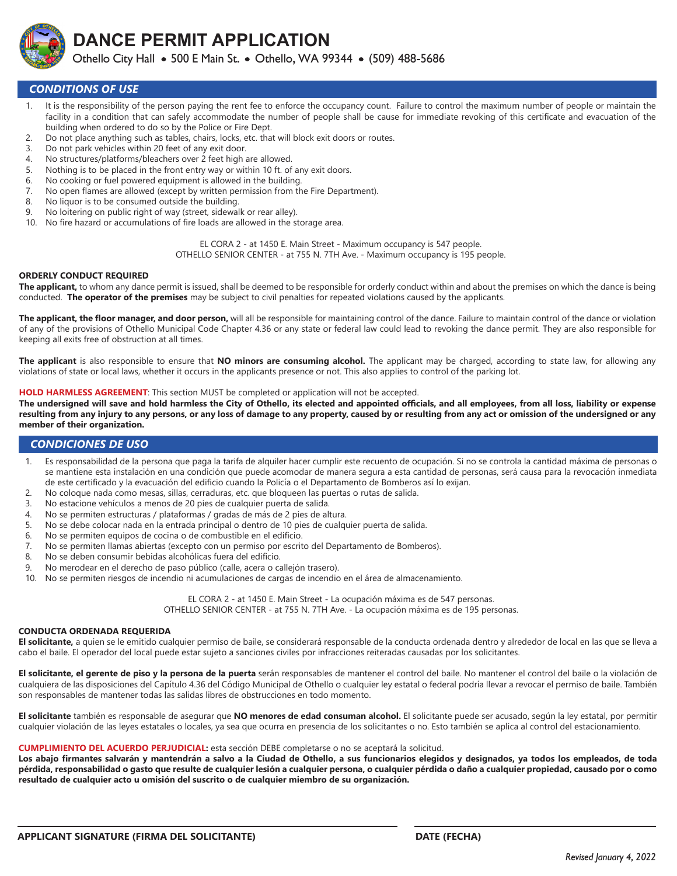

**DANCE PERMIT APPLICATION** Othello City Hall • 500 E Main St. • Othello, WA 99344 • (509) 488-5686

## *CONDITIONS OF USE*

- 1. It is the responsibility of the person paying the rent fee to enforce the occupancy count. Failure to control the maximum number of people or maintain the facility in a condition that can safely accommodate the number of people shall be cause for immediate revoking of this certificate and evacuation of the building when ordered to do so by the Police or Fire Dept.
- 2. Do not place anything such as tables, chairs, locks, etc. that will block exit doors or routes.
- 3. Do not park vehicles within 20 feet of any exit door.
- 4. No structures/platforms/bleachers over 2 feet high are allowed.<br>5. Nothing is to be placed in the front entry way or within 10 ft. of
- Nothing is to be placed in the front entry way or within 10 ft. of any exit doors.
- 6. No cooking or fuel powered equipment is allowed in the building.
- 7. No open flames are allowed (except by written permission from the Fire Department).
- 8. No liquor is to be consumed outside the building.
- 9. No loitering on public right of way (street, sidewalk or rear alley).
- 10. No fire hazard or accumulations of fire loads are allowed in the storage area.

EL CORA 2 - at 1450 E. Main Street - Maximum occupancy is 547 people. OTHELLO SENIOR CENTER - at 755 N. 7TH Ave. - Maximum occupancy is 195 people.

## **ORDERLY CONDUCT REQUIRED**

**The applicant,** to whom any dance permit is issued, shall be deemed to be responsible for orderly conduct within and about the premises on which the dance is being conducted. **The operator of the premises** may be subject to civil penalties for repeated violations caused by the applicants.

**The applicant, the floor manager, and door person,** will all be responsible for maintaining control of the dance. Failure to maintain control of the dance or violation of any of the provisions of Othello Municipal Code Chapter 4.36 or any state or federal law could lead to revoking the dance permit. They are also responsible for keeping all exits free of obstruction at all times.

**The applicant** is also responsible to ensure that **NO minors are consuming alcohol.** The applicant may be charged, according to state law, for allowing any violations of state or local laws, whether it occurs in the applicants presence or not. This also applies to control of the parking lot.

#### **HOLD HARMLESS AGREEMENT**: This section MUST be completed or application will not be accepted.

**The undersigned will save and hold harmless the City of Othello, its elected and appointed officials, and all employees, from all loss, liability or expense resulting from any injury to any persons, or any loss of damage to any property, caused by or resulting from any act or omission of the undersigned or any member of their organization.**

## *CONDICIONES DE USO*

- 1. Es responsabilidad de la persona que paga la tarifa de alquiler hacer cumplir este recuento de ocupación. Si no se controla la cantidad máxima de personas o se mantiene esta instalación en una condición que puede acomodar de manera segura a esta cantidad de personas, será causa para la revocación inmediata de este certificado y la evacuación del edificio cuando la Policía o el Departamento de Bomberos así lo exijan.
- 2. No coloque nada como mesas, sillas, cerraduras, etc. que bloqueen las puertas o rutas de salida.
- 3. No estacione vehículos a menos de 20 pies de cualquier puerta de salida.
- 4. No se permiten estructuras / plataformas / gradas de más de 2 pies de altura.
- 5. No se debe colocar nada en la entrada principal o dentro de 10 pies de cualquier puerta de salida.
- 6. No se permiten equipos de cocina o de combustible en el edificio.
- 7. No se permiten llamas abiertas (excepto con un permiso por escrito del Departamento de Bomberos).
- 8. No se deben consumir bebidas alcohólicas fuera del edificio.
- 9. No merodear en el derecho de paso público (calle, acera o callejón trasero).

10. No se permiten riesgos de incendio ni acumulaciones de cargas de incendio en el área de almacenamiento.

EL CORA 2 - at 1450 E. Main Street - La ocupación máxima es de 547 personas.

OTHELLO SENIOR CENTER - at 755 N. 7TH Ave. - La ocupación máxima es de 195 personas.

### **CONDUCTA ORDENADA REQUERIDA**

**El solicitante,** a quien se le emitido cualquier permiso de baile, se considerará responsable de la conducta ordenada dentro y alrededor de local en las que se lleva a cabo el baile. El operador del local puede estar sujeto a sanciones civiles por infracciones reiteradas causadas por los solicitantes.

**El solicitante, el gerente de piso y la persona de la puerta** serán responsables de mantener el control del baile. No mantener el control del baile o la violación de cualquiera de las disposiciones del Capítulo 4.36 del Código Municipal de Othello o cualquier ley estatal o federal podría llevar a revocar el permiso de baile. También son responsables de mantener todas las salidas libres de obstrucciones en todo momento.

**El solicitante** también es responsable de asegurar que **NO menores de edad consuman alcohol.** El solicitante puede ser acusado, según la ley estatal, por permitir cualquier violación de las leyes estatales o locales, ya sea que ocurra en presencia de los solicitantes o no. Esto también se aplica al control del estacionamiento.

#### **CUMPLIMIENTO DEL ACUERDO PERJUDICIAL:** esta sección DEBE completarse o no se aceptará la solicitud.

**Los abajo firmantes salvarán y mantendrán a salvo a la Ciudad de Othello, a sus funcionarios elegidos y designados, ya todos los empleados, de toda**  pérdida, responsabilidad o gasto que resulte de cualquier lesión a cualquier persona, o cualquier pérdida o daño a cualquier propiedad, causado por o como **resultado de cualquier acto u omisión del suscrito o de cualquier miembro de su organización.**